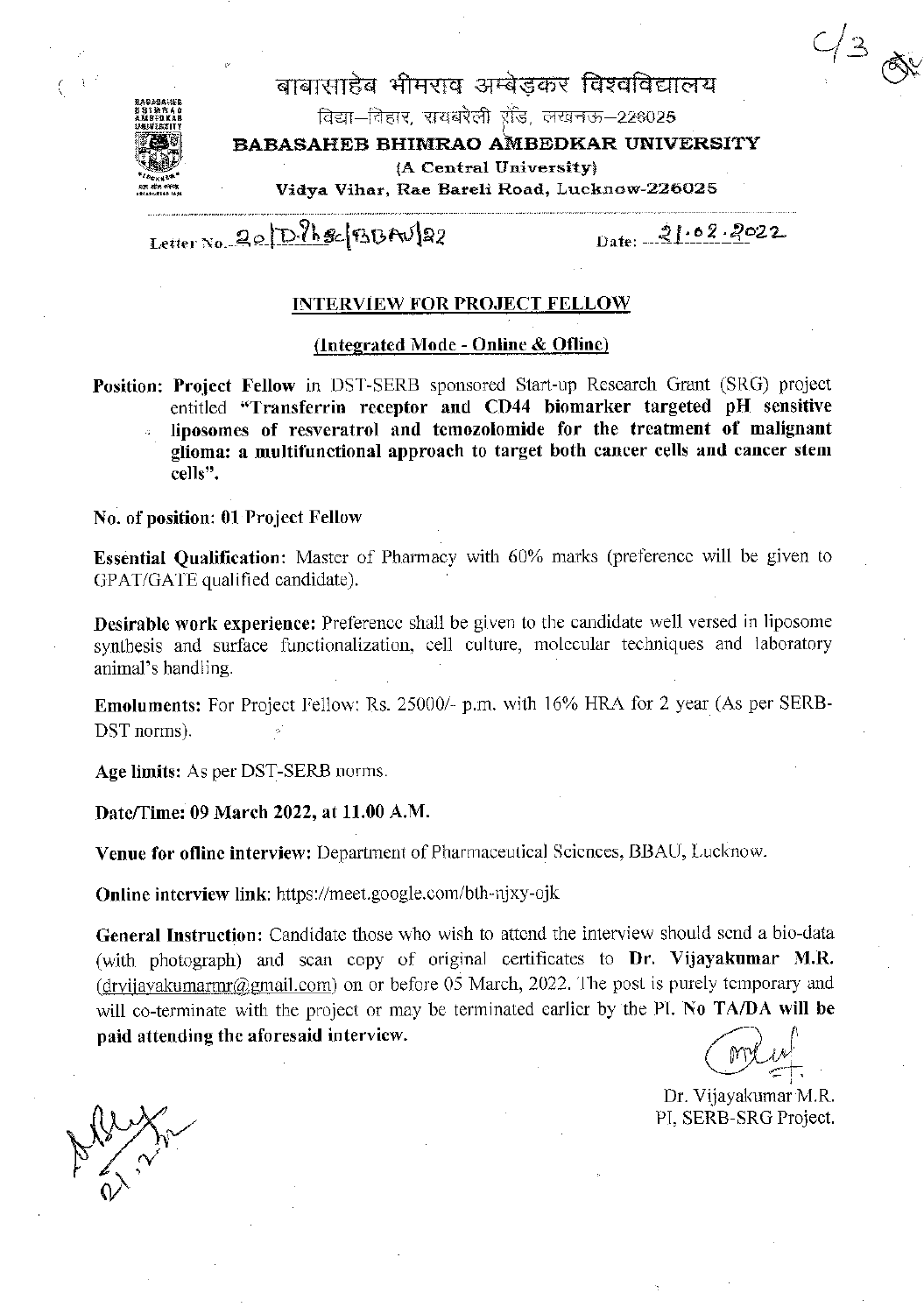# $2/38$



बाबासाहेब भीमराव अम्बेडकर विश्वविद्यालय विद्या-विहार, रायबरेली रॉड, लखनऊ-226025 BABASAHEB BHIMRAO AMBEDKAR UNIVERSITY (A Central University) Vidva Vihar, Rae Bareli Road, Lucknow-226025

Letter No. 20 D. Ph & BBAU 22

Date:  $21.02.2022$ 

#### **INTERVIEW FOR PROJECT FELLOW**

#### (Integrated Mode - Online & Ofline)

Position: Project Fellow in DST-SERB sponsored Start-up Research Grant (SRG) project entitled "Transferrin receptor and CD44 biomarker targeted pH sensitive liposomes of resveratrol and temozolomide for the treatment of malignant

glioma: a multifunctional approach to target both cancer cells and cancer stem cells".

#### No. of position: 01 Project Fellow

Essential Qualification: Master of Pharmacy with 60% marks (preference will be given to GPAT/GATE qualified candidate).

**Desirable work experience:** Preference shall be given to the candidate well versed in liposome synthesis and surface functionalization, cell culture, molecular techniques and laboratory animal's handling.

**Emoluments:** For Project Fellow: Rs. 25000/- p.m. with 16% HRA for 2 year (As per SERB-DST norms).

Age limits: As per DST-SERB norms.

Date/Time: 09 March 2022, at 11.00 A.M.

Venue for ofline interview: Department of Pharmaceutical Sciences, BBAU, Lucknow.

**Online interview link:** https://meet.google.com/bth-njxy-ojk

General Instruction: Candidate those who wish to attend the interview should send a bio-data (with photograph) and scan copy of original certificates to Dr. Vijayakumar M.R. (dryijayakumarmr@gmail.com) on or before 05 March, 2022. The post is purely temporary and will co-terminate with the project or may be terminated earlier by the PI. No TA/DA will be paid attending the aforesaid interview.

Dr. Vijayakumar M.R. PI, SERB-SRG Project.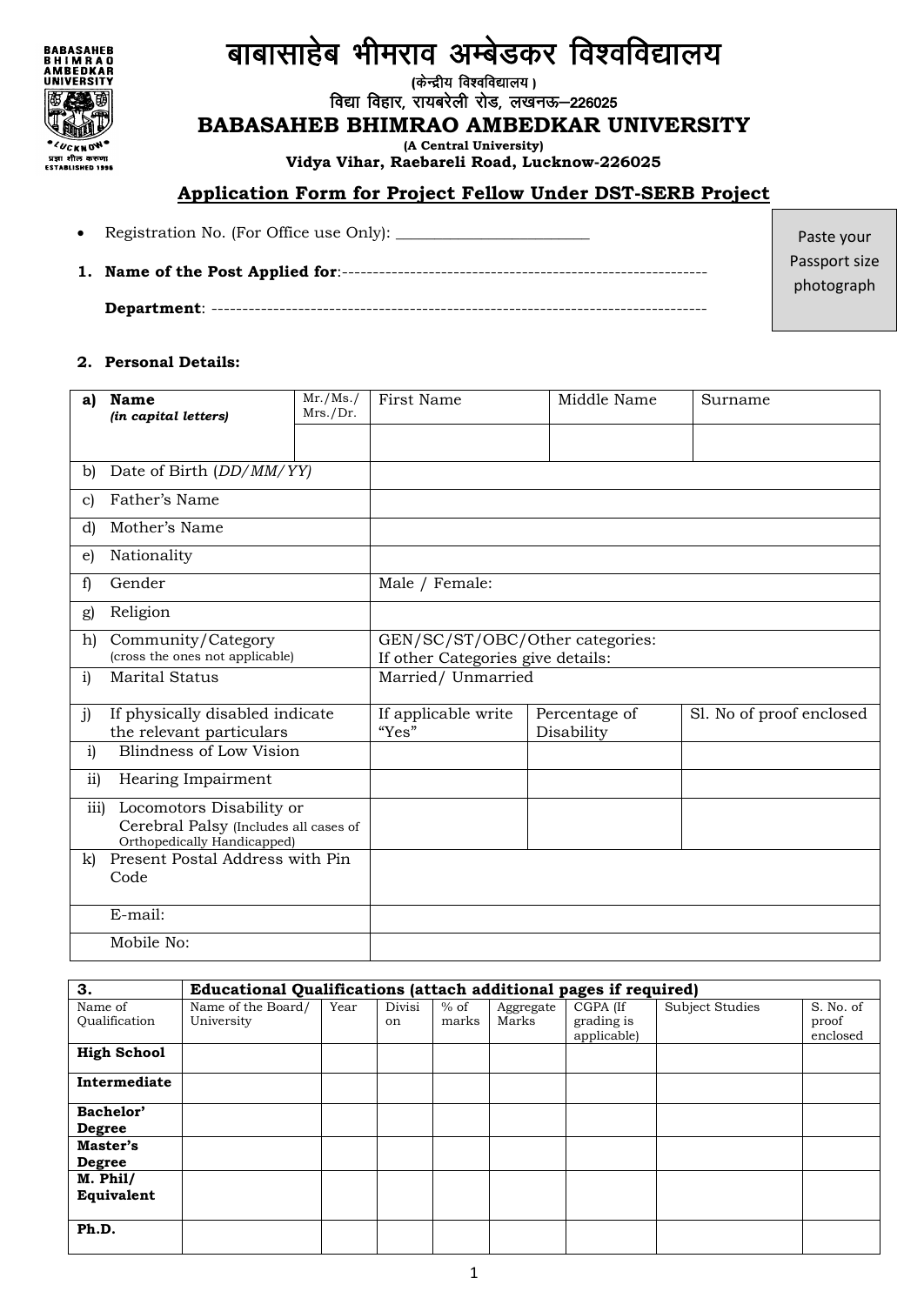### **BABASAHEB<br>BHIMRAO<br>AMBEDKAR<br>UNIVERSITY** क्री **LUCKNOW** प्रझा शील करुणा<br>ESTABLISHED 1996

## बाबासाहेब भीमराव अम्बेडकर विश्वविद्यालय

*(केन्द्रीय विश्वविद्यालय)* 

विद्या विहार, रायबरेली रोड, लखनऊ-226025

#### **BABASAHEB BHIMRAO AMBEDKAR UNIVERSITY**

**(A Central University)**

**Vidya Vihar, Raebareli Road, Lucknow-226025**

#### **Application Form for Project Fellow Under DST-SERB Project**

Registration No. (For Office use Only): \_\_\_\_\_\_\_\_\_\_\_\_\_\_\_\_\_\_\_\_\_\_\_\_\_

**1. Name of the Post Applied for**:-----------------------------------------------------------

**Department**: --------------------------------------------------------------------------------

Passport size photograph

Paste your

#### **2. Personal Details:**

| a)           | <b>Name</b><br>(in capital letters)                                                              | $\overline{\text{Mr.}}/\text{Ms.}/$<br>Mrs./Dr. | First Name                                                           | Middle Name                 | Surname                  |  |  |  |
|--------------|--------------------------------------------------------------------------------------------------|-------------------------------------------------|----------------------------------------------------------------------|-----------------------------|--------------------------|--|--|--|
|              |                                                                                                  |                                                 |                                                                      |                             |                          |  |  |  |
| b)           | Date of Birth (DD/MM/YY)                                                                         |                                                 |                                                                      |                             |                          |  |  |  |
| c)           | Father's Name                                                                                    |                                                 |                                                                      |                             |                          |  |  |  |
| d)           | Mother's Name                                                                                    |                                                 |                                                                      |                             |                          |  |  |  |
| e)           | Nationality                                                                                      |                                                 |                                                                      |                             |                          |  |  |  |
| f)           | Gender                                                                                           |                                                 | Male / Female:                                                       |                             |                          |  |  |  |
| g)           | Religion                                                                                         |                                                 |                                                                      |                             |                          |  |  |  |
| h)           | Community/Category<br>(cross the ones not applicable)                                            |                                                 | GEN/SC/ST/OBC/Other categories:<br>If other Categories give details: |                             |                          |  |  |  |
| i)           | <b>Marital Status</b>                                                                            |                                                 | Married/ Unmarried                                                   |                             |                          |  |  |  |
| j)           | If physically disabled indicate<br>the relevant particulars                                      |                                                 | If applicable write<br>"Yes"                                         | Percentage of<br>Disability | Sl. No of proof enclosed |  |  |  |
| i)           | Blindness of Low Vision                                                                          |                                                 |                                                                      |                             |                          |  |  |  |
| ii)          | Hearing Impairment                                                                               |                                                 |                                                                      |                             |                          |  |  |  |
| iii)         | Locomotors Disability or<br>Cerebral Palsy (Includes all cases of<br>Orthopedically Handicapped) |                                                 |                                                                      |                             |                          |  |  |  |
| $\mathbf{k}$ | Present Postal Address with Pin<br>Code                                                          |                                                 |                                                                      |                             |                          |  |  |  |
|              | E-mail:                                                                                          |                                                 |                                                                      |                             |                          |  |  |  |
|              | Mobile No:                                                                                       |                                                 |                                                                      |                             |                          |  |  |  |

| 3.                         | Educational Qualifications (attach additional pages if required) |      |              |                 |                    |                                       |                 |                                |  |
|----------------------------|------------------------------------------------------------------|------|--------------|-----------------|--------------------|---------------------------------------|-----------------|--------------------------------|--|
| Name of<br>Oualification   | Name of the Board/<br>University                                 | Year | Divisi<br>on | $%$ of<br>marks | Aggregate<br>Marks | CGPA (If<br>grading is<br>applicable) | Subject Studies | S. No. of<br>proof<br>enclosed |  |
| <b>High School</b>         |                                                                  |      |              |                 |                    |                                       |                 |                                |  |
| Intermediate               |                                                                  |      |              |                 |                    |                                       |                 |                                |  |
| Bachelor'<br><b>Degree</b> |                                                                  |      |              |                 |                    |                                       |                 |                                |  |
| Master's<br><b>Degree</b>  |                                                                  |      |              |                 |                    |                                       |                 |                                |  |
| $M.$ Phil/<br>Equivalent   |                                                                  |      |              |                 |                    |                                       |                 |                                |  |
| Ph.D.                      |                                                                  |      |              |                 |                    |                                       |                 |                                |  |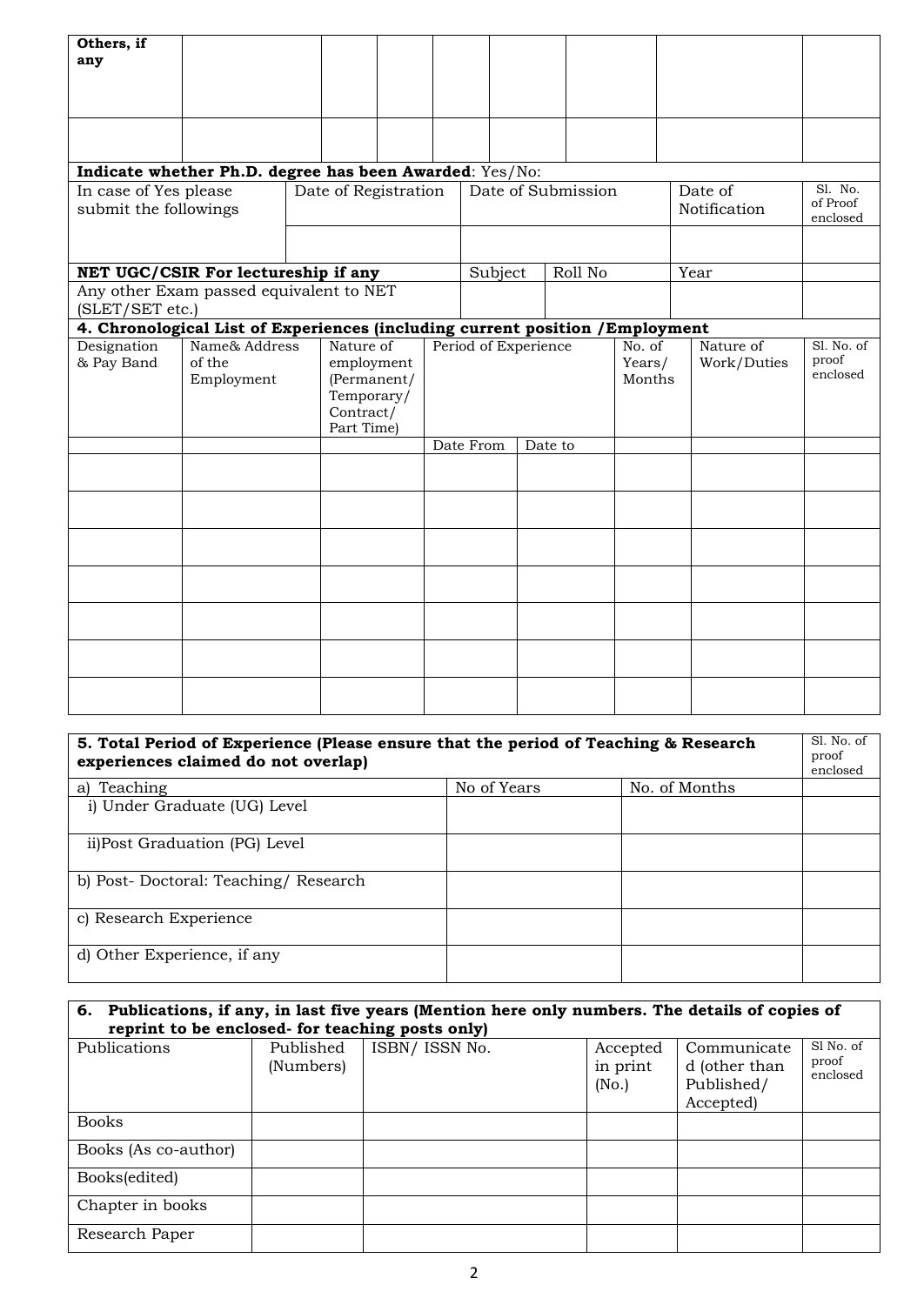| Others, if<br>any                                                             |                                       |                                                                                 |  |                    |           |                         |                                 |         |  |                            |                          |                                 |
|-------------------------------------------------------------------------------|---------------------------------------|---------------------------------------------------------------------------------|--|--------------------|-----------|-------------------------|---------------------------------|---------|--|----------------------------|--------------------------|---------------------------------|
|                                                                               |                                       |                                                                                 |  |                    |           |                         |                                 |         |  |                            |                          |                                 |
| Indicate whether Ph.D. degree has been Awarded: Yes/No:                       |                                       |                                                                                 |  |                    |           |                         |                                 |         |  |                            |                          |                                 |
| In case of Yes please<br>submit the followings                                |                                       | Date of Registration                                                            |  | Date of Submission |           | Date of<br>Notification | Sl. No.<br>of Proof<br>enclosed |         |  |                            |                          |                                 |
|                                                                               |                                       |                                                                                 |  |                    |           |                         |                                 |         |  |                            |                          |                                 |
| NET UGC/CSIR For lectureship if any                                           |                                       |                                                                                 |  |                    |           | Subject                 |                                 | Roll No |  | Year                       |                          |                                 |
| Any other Exam passed equivalent to NET<br>(SLET/SET etc.)                    |                                       |                                                                                 |  |                    |           |                         |                                 |         |  |                            |                          |                                 |
| 4. Chronological List of Experiences (including current position / Employment |                                       |                                                                                 |  |                    |           |                         |                                 |         |  |                            |                          |                                 |
| Designation<br>& Pay Band                                                     | Name& Address<br>of the<br>Employment | Nature of<br>employment<br>(Permanent/<br>Temporary/<br>Contract/<br>Part Time) |  |                    |           | Period of Experience    |                                 |         |  | No. of<br>Years/<br>Months | Nature of<br>Work/Duties | Sl. No. of<br>proof<br>enclosed |
|                                                                               |                                       |                                                                                 |  |                    | Date From |                         | Date to                         |         |  |                            |                          |                                 |
|                                                                               |                                       |                                                                                 |  |                    |           |                         |                                 |         |  |                            |                          |                                 |
|                                                                               |                                       |                                                                                 |  |                    |           |                         |                                 |         |  |                            |                          |                                 |
|                                                                               |                                       |                                                                                 |  |                    |           |                         |                                 |         |  |                            |                          |                                 |
|                                                                               |                                       |                                                                                 |  |                    |           |                         |                                 |         |  |                            |                          |                                 |
|                                                                               |                                       |                                                                                 |  |                    |           |                         |                                 |         |  |                            |                          |                                 |
|                                                                               |                                       |                                                                                 |  |                    |           |                         |                                 |         |  |                            |                          |                                 |
|                                                                               |                                       |                                                                                 |  |                    |           |                         |                                 |         |  |                            |                          |                                 |

| 5. Total Period of Experience (Please ensure that the period of Teaching & Research<br>experiences claimed do not overlap) |  |  |  |  |  |  |  |  |
|----------------------------------------------------------------------------------------------------------------------------|--|--|--|--|--|--|--|--|
| No. of Months<br>No of Years<br>Teaching<br>a)                                                                             |  |  |  |  |  |  |  |  |
| i) Under Graduate (UG) Level                                                                                               |  |  |  |  |  |  |  |  |
| ii)Post Graduation (PG) Level                                                                                              |  |  |  |  |  |  |  |  |
| b) Post-Doctoral: Teaching/Research                                                                                        |  |  |  |  |  |  |  |  |
| c) Research Experience                                                                                                     |  |  |  |  |  |  |  |  |
| d) Other Experience, if any                                                                                                |  |  |  |  |  |  |  |  |

| 6. Publications, if any, in last five years (Mention here only numbers. The details of copies of<br>reprint to be enclosed- for teaching posts only) |                        |                |                               |                                                         |                                |  |  |  |  |  |
|------------------------------------------------------------------------------------------------------------------------------------------------------|------------------------|----------------|-------------------------------|---------------------------------------------------------|--------------------------------|--|--|--|--|--|
| Publications                                                                                                                                         | Published<br>(Numbers) | ISBN/ ISSN No. | Accepted<br>in print<br>(No.) | Communicate<br>d (other than<br>Published/<br>Accepted) | Sl No. of<br>proof<br>enclosed |  |  |  |  |  |
| <b>Books</b>                                                                                                                                         |                        |                |                               |                                                         |                                |  |  |  |  |  |
| Books (As co-author)                                                                                                                                 |                        |                |                               |                                                         |                                |  |  |  |  |  |
| Books(edited)                                                                                                                                        |                        |                |                               |                                                         |                                |  |  |  |  |  |
| Chapter in books                                                                                                                                     |                        |                |                               |                                                         |                                |  |  |  |  |  |
| Research Paper                                                                                                                                       |                        |                |                               |                                                         |                                |  |  |  |  |  |